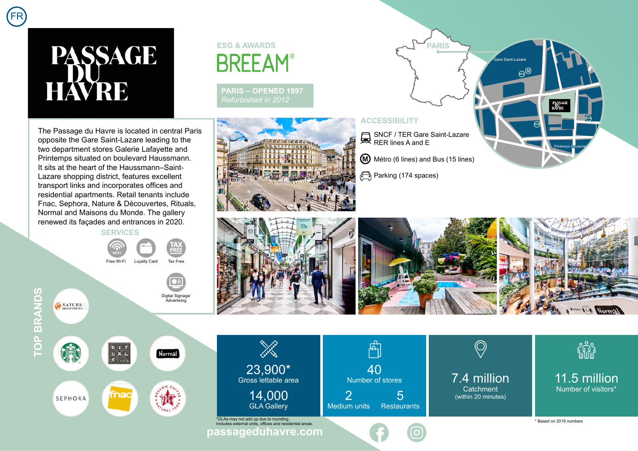## **PASSAGE HAVRE**

FR

The Passage du Havre is located in central Paris opposite the Gare Saint-Lazare leading to the two department stores Galerie Lafayette and Printemps situated on boulevard Haussmann. It sits at the heart of the Haussmann–Saint-Lazare shopping district, features excellent transport links and incorporates offices and residential apartments. Retail tenants include Fnac, Sephora, Nature & Découvertes, Rituals, Normal and Maisons du Monde. The gallery renewed its façades and entrances in 2020.

**SERVICES**



Digital Signage/ **Advertising** 

Normal

**TOP BRANDS TOP BRANDS** NATURE<sub>DECOUVERTES</sub>

E fnac SEPHORA

## **ESG & AWARDSBREEAM®**

**PARIS – OPENED 1997** *Refurbished in 2012*



**PARIS** .<br>Gare Saint-Lazar RER<sup>M</sup> PASSAG<br>HAVRE RER RER SNCF / TER Gare Saint-Lazare RER lines A and E Printemps Haussman Métro (6 lines) and B[us \(15 lines\)](https://goo.gl/maps/bQEtX5e9xHVS2XMYA)

Parking (174 spaces)

**ACCESSIBILITY**



**Sold Strain** 23,900\* Gross lettable area 14,000 GLA Gallery

**[passageduhavre.com](https://www.passageduhavre.com/)** \* Based on 2019 numbers \*GLAs may not add up due to rounding. Includes external units, offices and residential areas.

मी 40 Number of stores 2 5 Medium units Restaurants

7.4 million **Catchment** (within 20 minutes)

fili

11.5 million Number of visitors\*